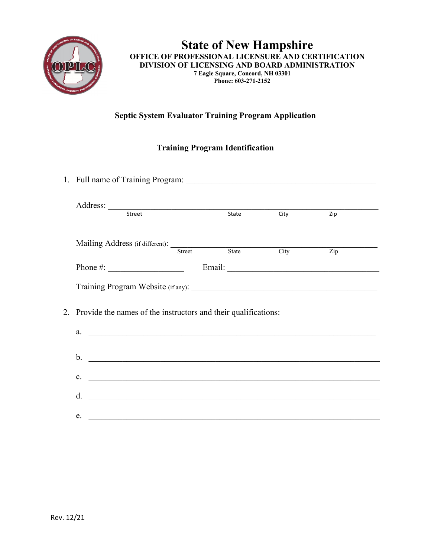

#### **State of New Hampshire OFFICE OF PROFESSIONAL LICENSURE AND CERTIFICATION DIVISION OF LICENSING AND BOARD ADMINISTRATION 7 Eagle Square, Concord, NH 03301 Phone: 603-271-2152**

### **Septic System Evaluator Training Program Application**

## **Training Program Identification**

- 1. Full name of Training Program: \_\_\_\_\_\_\_\_\_\_\_\_\_\_\_\_\_\_\_\_\_\_\_\_\_\_\_\_\_\_\_\_\_\_\_\_\_\_\_\_\_\_\_\_\_ Address: \_\_\_\_\_\_\_\_\_\_\_\_\_\_\_\_\_\_\_\_\_\_\_\_\_\_\_\_\_\_\_\_\_\_\_\_\_\_\_\_\_\_\_\_\_\_\_\_\_\_\_\_\_\_\_\_\_\_\_\_\_\_\_\_ Street **State** City **Contains State** City Mailing Address (if different): \_\_\_\_\_\_\_\_\_\_\_\_\_\_\_\_\_\_\_\_\_\_\_\_\_\_\_\_\_\_\_\_\_\_\_\_\_\_\_\_\_\_\_\_\_\_\_\_\_ Street State City Zip Phone #: \_\_\_\_\_\_\_\_\_\_\_\_\_\_\_\_\_\_ Email: \_\_\_\_\_\_\_\_\_\_\_\_\_\_\_\_\_\_\_\_\_\_\_\_\_\_\_\_\_\_\_\_\_\_\_\_ Training Program Website (if any): 2. Provide the names of the instructors and their qualifications:
- 

|               | a. <u>_______________________</u>                                                                                    |
|---------------|----------------------------------------------------------------------------------------------------------------------|
|               |                                                                                                                      |
| $\mathbf b$ . | <u> 1980 - Jan Barbara, martin da basar da basar da basar da basar da basar da basar da basar da basar da basar</u>  |
|               |                                                                                                                      |
|               | c. $\qquad \qquad$                                                                                                   |
| d.            | <u> 1980 - Jan Stein Berlin, amerikan berlin besteht als der stadt andere som besteht av den stadt av den stadt </u> |
|               |                                                                                                                      |
| e.            |                                                                                                                      |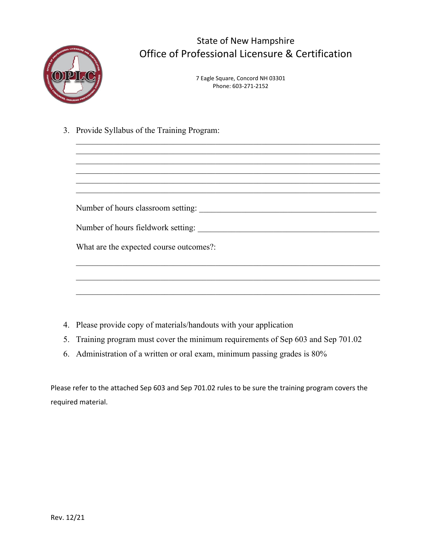

# State of New Hampshire Office of Professional Licensure & Certification

7 Eagle Square, Concord NH 03301 Phone: 603-271-2152

 $\mathcal{L}_\text{G}$  , and the contribution of the contribution of the contribution of the contribution of the contribution of the contribution of the contribution of the contribution of the contribution of the contribution of t  $\mathcal{L}_\text{max} = \mathcal{L}_\text{max} = \mathcal{L}_\text{max} = \mathcal{L}_\text{max} = \mathcal{L}_\text{max} = \mathcal{L}_\text{max} = \mathcal{L}_\text{max} = \mathcal{L}_\text{max} = \mathcal{L}_\text{max} = \mathcal{L}_\text{max} = \mathcal{L}_\text{max} = \mathcal{L}_\text{max} = \mathcal{L}_\text{max} = \mathcal{L}_\text{max} = \mathcal{L}_\text{max} = \mathcal{L}_\text{max} = \mathcal{L}_\text{max} = \mathcal{L}_\text{max} = \mathcal{$ 

 $\mathcal{L}_\text{G}$  , and the contribution of the contribution of the contribution of the contribution of the contribution of the contribution of the contribution of the contribution of the contribution of the contribution of t  $\mathcal{L}_\text{G}$  , and the contribution of the contribution of the contribution of the contribution of the contribution of the contribution of the contribution of the contribution of the contribution of the contribution of t  $\mathcal{L}_\text{G}$  , and the contribution of the contribution of the contribution of the contribution of the contribution of the contribution of the contribution of the contribution of the contribution of the contribution of t

 $\mathcal{L}_\text{G}$  , and the contribution of the contribution of the contribution of the contribution of the contribution of the contribution of the contribution of the contribution of the contribution of the contribution of t

 $\mathcal{L}_\text{G}$  , and the contribution of the contribution of the contribution of the contribution of the contribution of the contribution of the contribution of the contribution of the contribution of the contribution of t

3. Provide Syllabus of the Training Program:

Number of hours classroom setting: \_\_\_\_\_\_\_\_\_\_\_\_\_\_\_\_\_\_\_\_\_\_\_\_\_\_\_\_\_\_\_\_\_\_\_\_\_\_\_\_\_\_

Number of hours fieldwork setting: \_\_\_\_\_\_\_\_\_\_\_\_\_\_\_\_\_\_\_\_\_\_\_\_\_\_\_\_\_\_\_\_\_\_\_\_\_\_\_\_\_\_\_

What are the expected course outcomes?:

- 4. Please provide copy of materials/handouts with your application
- 5. Training program must cover the minimum requirements of Sep 603 and Sep 701.02
- 6. Administration of a written or oral exam, minimum passing grades is 80%

Please refer to the attached Sep 603 and Sep 701.02 rules to be sure the training program covers the required material.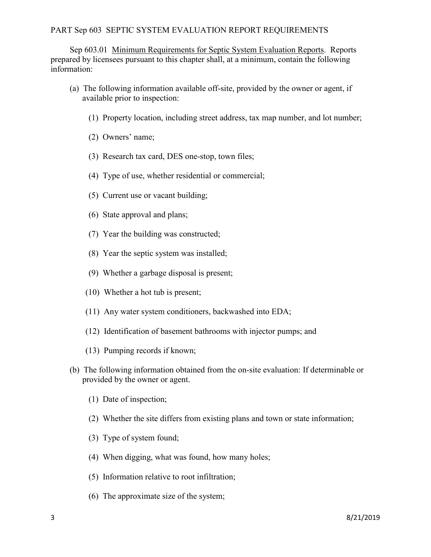#### PART Sep 603 SEPTIC SYSTEM EVALUATION REPORT REQUIREMENTS

Sep 603.01 Minimum Requirements for Septic System Evaluation Reports. Reports prepared by licensees pursuant to this chapter shall, at a minimum, contain the following information:

- (a) The following information available off-site, provided by the owner or agent, if available prior to inspection:
	- (1) Property location, including street address, tax map number, and lot number;
	- (2) Owners' name;
	- (3) Research tax card, DES one-stop, town files;
	- (4) Type of use, whether residential or commercial;
	- (5) Current use or vacant building;
	- (6) State approval and plans;
	- (7) Year the building was constructed;
	- (8) Year the septic system was installed;
	- (9) Whether a garbage disposal is present;
	- (10) Whether a hot tub is present;
	- (11) Any water system conditioners, backwashed into EDA;
	- (12) Identification of basement bathrooms with injector pumps; and
	- (13) Pumping records if known;
- (b) The following information obtained from the on-site evaluation: If determinable or provided by the owner or agent.
	- (1) Date of inspection;
	- (2) Whether the site differs from existing plans and town or state information;
	- (3) Type of system found;
	- (4) When digging, what was found, how many holes;
	- (5) Information relative to root infiltration;
	- (6) The approximate size of the system;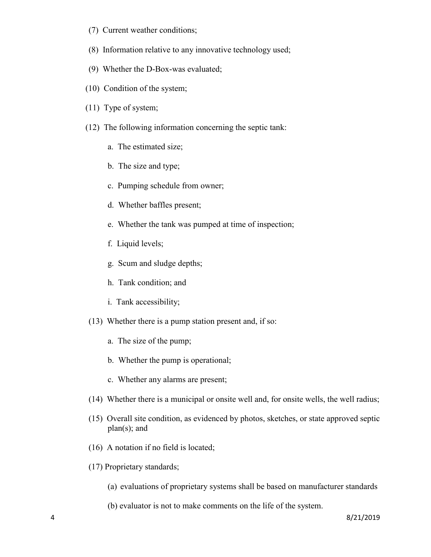- (7) Current weather conditions;
- (8) Information relative to any innovative technology used;
- (9) Whether the D-Box-was evaluated;
- (10) Condition of the system;
- (11) Type of system;
- (12) The following information concerning the septic tank:
	- a. The estimated size;
	- b. The size and type;
	- c. Pumping schedule from owner;
	- d. Whether baffles present;
	- e. Whether the tank was pumped at time of inspection;
	- f. Liquid levels;
	- g. Scum and sludge depths;
	- h. Tank condition; and
	- i. Tank accessibility;
- (13) Whether there is a pump station present and, if so:
	- a. The size of the pump;
	- b. Whether the pump is operational;
	- c. Whether any alarms are present;
- (14) Whether there is a municipal or onsite well and, for onsite wells, the well radius;
- (15) Overall site condition, as evidenced by photos, sketches, or state approved septic plan(s); and
- (16) A notation if no field is located;
- (17) Proprietary standards;
	- (a) evaluations of proprietary systems shall be based on manufacturer standards
	- (b) evaluator is not to make comments on the life of the system.